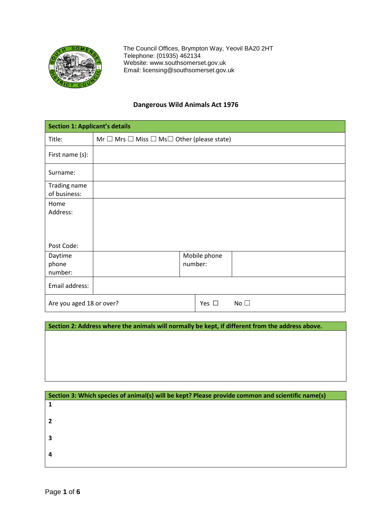

 The Council Offices, Brympton Way, Yeovil BA20 2HT Telephone: (01935) 462134 Website: [www.southsomerset.gov.uk](http://www.southsomerset.gov.uk/)  Email: licensing@southsomerset.gov.uk

## **Dangerous Wild Animals Act 1976**

| <b>Section 1: Applicant's details</b> |                                                                 |                         |              |
|---------------------------------------|-----------------------------------------------------------------|-------------------------|--------------|
| Title:                                | Mr $\Box$ Mrs $\Box$ Miss $\Box$ Ms $\Box$ Other (please state) |                         |              |
| First name (s):                       |                                                                 |                         |              |
| Surname:                              |                                                                 |                         |              |
| Trading name<br>of business:          |                                                                 |                         |              |
| Home<br>Address:                      |                                                                 |                         |              |
| Post Code:                            |                                                                 |                         |              |
| Daytime<br>phone<br>number:           |                                                                 | Mobile phone<br>number: |              |
| Email address:                        |                                                                 |                         |              |
| Are you aged 18 or over?              |                                                                 | Yes $\square$           | No $\square$ |

**Section 2: Address where the animals will normally be kept, if different from the address above.** 

| Section 3: Which species of animal(s) will be kept? Please provide common and scientific name(s) |
|--------------------------------------------------------------------------------------------------|
|                                                                                                  |
|                                                                                                  |
|                                                                                                  |
|                                                                                                  |
| З                                                                                                |
|                                                                                                  |
|                                                                                                  |
|                                                                                                  |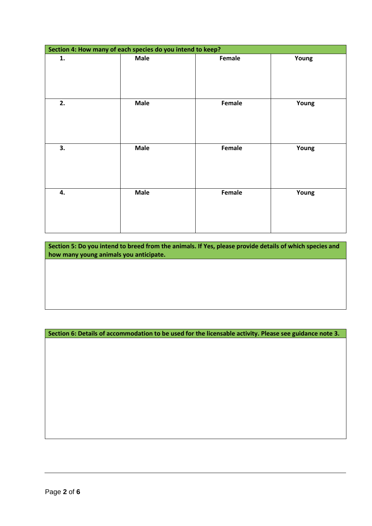| Section 4: How many of each species do you intend to keep? |             |        |       |  |
|------------------------------------------------------------|-------------|--------|-------|--|
| 1.                                                         | <b>Male</b> | Female | Young |  |
| 2.                                                         | <b>Male</b> | Female | Young |  |
| 3.                                                         | <b>Male</b> | Female | Young |  |
| 4.                                                         | Male        | Female | Young |  |

**Section 5: Do you intend to breed from the animals. If Yes, please provide details of which species and how many young animals you anticipate.** 

**Section 6: Details of accommodation to be used for the licensable activity. Please see guidance note 3.**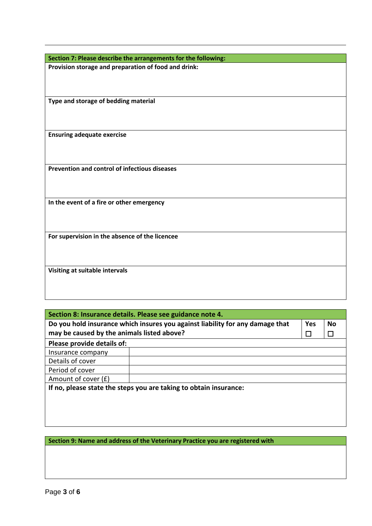| Section 7: Please describe the arrangements for the following: |
|----------------------------------------------------------------|
| Provision storage and preparation of food and drink:           |
|                                                                |
|                                                                |
|                                                                |
| Type and storage of bedding material                           |
|                                                                |
|                                                                |
| <b>Ensuring adequate exercise</b>                              |
|                                                                |
|                                                                |
|                                                                |
| Prevention and control of infectious diseases                  |
|                                                                |
|                                                                |
|                                                                |
| In the event of a fire or other emergency                      |
|                                                                |
|                                                                |
|                                                                |
| For supervision in the absence of the licencee                 |
|                                                                |
|                                                                |
| Visiting at suitable intervals                                 |
|                                                                |
|                                                                |
|                                                                |

| Section 8: Insurance details. Please see guidance note 4.                                         |   |  |  |
|---------------------------------------------------------------------------------------------------|---|--|--|
| Do you hold insurance which insures you against liability for any damage that<br><b>No</b><br>Yes |   |  |  |
| may be caused by the animals listed above?                                                        | П |  |  |
| Please provide details of:                                                                        |   |  |  |
| Insurance company                                                                                 |   |  |  |
| Details of cover                                                                                  |   |  |  |
| Period of cover                                                                                   |   |  |  |
| Amount of cover (£)                                                                               |   |  |  |
| If no, please state the steps you are taking to obtain insurance:                                 |   |  |  |

**Section 9: Name and address of the Veterinary Practice you are registered with**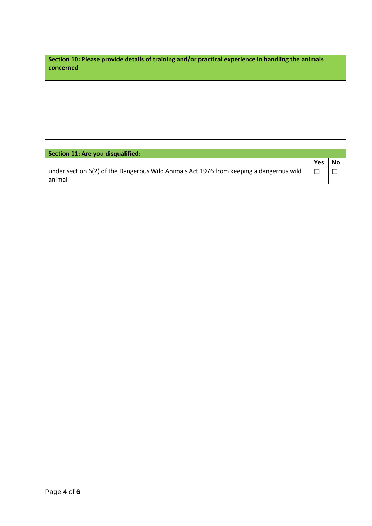**Section 10: Please provide details of training and/or practical experience in handling the animals concerned**

**Section 11: Are you disqualified:**

|                                                                                         | Yes | No |
|-----------------------------------------------------------------------------------------|-----|----|
| under section 6(2) of the Dangerous Wild Animals Act 1976 from keeping a dangerous wild |     |    |
| animal                                                                                  |     |    |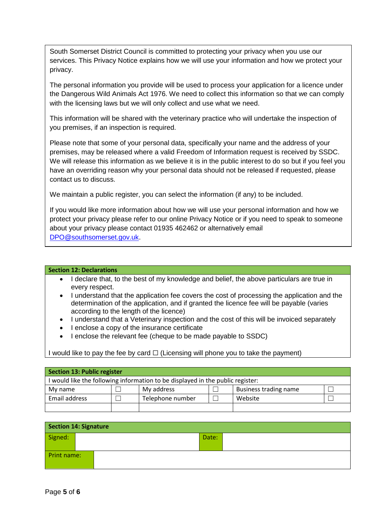South Somerset District Council is committed to protecting your privacy when you use our services. This Privacy Notice explains how we will use your information and how we protect your privacy.

The personal information you provide will be used to process your application for a licence under the Dangerous Wild Animals Act 1976. We need to collect this information so that we can comply with the licensing laws but we will only collect and use what we need.

This information will be shared with the veterinary practice who will undertake the inspection of you premises, if an inspection is required.

Please note that some of your personal data, specifically your name and the address of your premises, may be released where a valid Freedom of Information request is received by SSDC. We will release this information as we believe it is in the public interest to do so but if you feel you have an overriding reason why your personal data should not be released if requested, please contact us to discuss.

We maintain a public register, you can select the information (if any) to be included.

If you would like more information about how we will use your personal information and how we protect your privacy please refer to our online Privacy Notice or if you need to speak to someone about your privacy please contact 01935 462462 or alternatively email [DPO@southsomerset.gov.uk.](mailto:DPO@southsomerset.gov.uk)

## **Section 12: Declarations**

- I declare that, to the best of my knowledge and belief, the above particulars are true in every respect.
- I understand that the application fee covers the cost of processing the application and the determination of the application, and if granted the licence fee will be payable (varies according to the length of the licence)
- I understand that a Veterinary inspection and the cost of this will be invoiced separately
- I enclose a copy of the insurance certificate
- I enclose the relevant fee (cheque to be made payable to SSDC)

I would like to pay the fee by card  $\Box$  (Licensing will phone you to take the payment)

| <b>Section 13: Public register</b>                                             |  |                  |  |                       |  |
|--------------------------------------------------------------------------------|--|------------------|--|-----------------------|--|
| I would like the following information to be displayed in the public register: |  |                  |  |                       |  |
| My name                                                                        |  | My address       |  | Business trading name |  |
| Email address                                                                  |  | Telephone number |  | Website               |  |
|                                                                                |  |                  |  |                       |  |

| <b>Section 14: Signature</b> |  |       |  |  |
|------------------------------|--|-------|--|--|
| Signed:                      |  | Date: |  |  |
| Print name:                  |  |       |  |  |